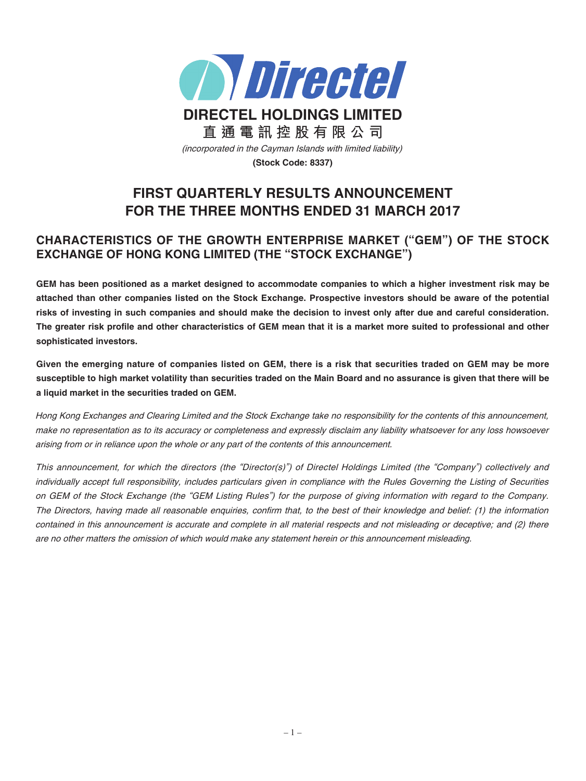

# **FIRST QUARTERLY RESULTS ANNOUNCEMENT FOR THE THREE MONTHS ENDED 31 MARCH 2017**

# **CHARACTERISTICS OF THE GROWTH ENTERPRISE MARKET ("GEM") OF THE STOCK EXCHANGE OF HONG KONG LIMITED (THE "STOCK EXCHANGE")**

GEM has been positioned as a market designed to accommodate companies to which a higher investment risk may be attached than other companies listed on the Stock Exchange. Prospective investors should be aware of the potential risks of investing in such companies and should make the decision to invest only after due and careful consideration. The greater risk profile and other characteristics of GEM mean that it is a market more suited to professional and other **sophisticated investors.**

Given the emerging nature of companies listed on GEM, there is a risk that securities traded on GEM may be more susceptible to high market volatility than securities traded on the Main Board and no assurance is given that there will be **a liquid market in the securities traded on GEM.**

Hong Kong Exchanges and Clearing Limited and the Stock Exchange take no responsibility for the contents of this announcement, make no representation as to its accuracy or completeness and expressly disclaim any liability whatsoever for any loss howsoever arising from or in reliance upon the whole or any part of the contents of this announcement.

This announcement, for which the directors (the "Director(s)") of Directel Holdings Limited (the "Company") collectively and individually accept full responsibility, includes particulars given in compliance with the Rules Governing the Listing of Securities on GEM of the Stock Exchange (the "GEM Listing Rules") for the purpose of giving information with regard to the Company. The Directors, having made all reasonable enquiries, confirm that, to the best of their knowledge and belief: (1) the information contained in this announcement is accurate and complete in all material respects and not misleading or deceptive; and (2) there are no other matters the omission of which would make any statement herein or this announcement misleading.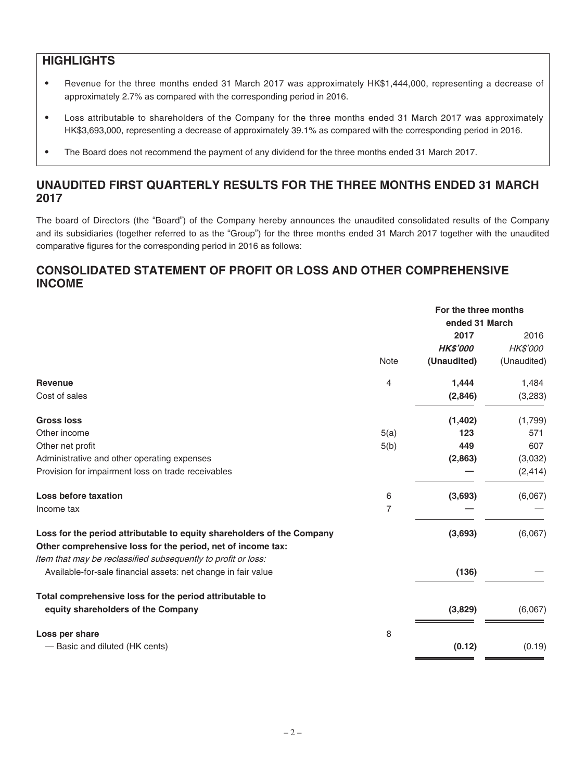## **HIGHLIGHTS**

- ‧ Revenue for the three months ended 31 March 2017 was approximately HK\$1,444,000, representing a decrease of approximately 2.7% as compared with the corresponding period in 2016.
- ‧ Loss attributable to shareholders of the Company for the three months ended 31 March 2017 was approximately HK\$3,693,000, representing a decrease of approximately 39.1% as compared with the corresponding period in 2016.
- The Board does not recommend the payment of any dividend for the three months ended 31 March 2017.

# **UNAUDITED FIRST QUARTERLY RESULTS FOR THE THREE MONTHS ENDED 31 MARCH 2017**

The board of Directors (the "Board") of the Company hereby announces the unaudited consolidated results of the Company and its subsidiaries (together referred to as the "Group") for the three months ended 31 March 2017 together with the unaudited comparative figures for the corresponding period in 2016 as follows:

# **CONSOLIDATED STATEMENT OF PROFIT OR LOSS AND OTHER COMPREHENSIVE INCOME**

|                                                                                                                                       |                | For the three months |             |
|---------------------------------------------------------------------------------------------------------------------------------------|----------------|----------------------|-------------|
|                                                                                                                                       |                | ended 31 March       |             |
|                                                                                                                                       |                | 2017                 | 2016        |
|                                                                                                                                       |                | <b>HK\$'000</b>      | HK\$'000    |
|                                                                                                                                       | Note           | (Unaudited)          | (Unaudited) |
| <b>Revenue</b>                                                                                                                        | 4              | 1,444                | 1,484       |
| Cost of sales                                                                                                                         |                | (2,846)              | (3,283)     |
| <b>Gross loss</b>                                                                                                                     |                | (1, 402)             | (1,799)     |
| Other income                                                                                                                          | 5(a)           | 123                  | 571         |
| Other net profit                                                                                                                      | 5(b)           | 449                  | 607         |
| Administrative and other operating expenses                                                                                           |                | (2,863)              | (3,032)     |
| Provision for impairment loss on trade receivables                                                                                    |                |                      | (2, 414)    |
| Loss before taxation                                                                                                                  | 6              | (3,693)              | (6,067)     |
| Income tax                                                                                                                            | $\overline{7}$ |                      |             |
| Loss for the period attributable to equity shareholders of the Company<br>Other comprehensive loss for the period, net of income tax: |                | (3,693)              | (6,067)     |
| Item that may be reclassified subsequently to profit or loss:                                                                         |                |                      |             |
| Available-for-sale financial assets: net change in fair value                                                                         |                | (136)                |             |
| Total comprehensive loss for the period attributable to                                                                               |                |                      |             |
| equity shareholders of the Company                                                                                                    |                | (3,829)              | (6,067)     |
| Loss per share                                                                                                                        | 8              |                      |             |
| - Basic and diluted (HK cents)                                                                                                        |                | (0.12)               | (0.19)      |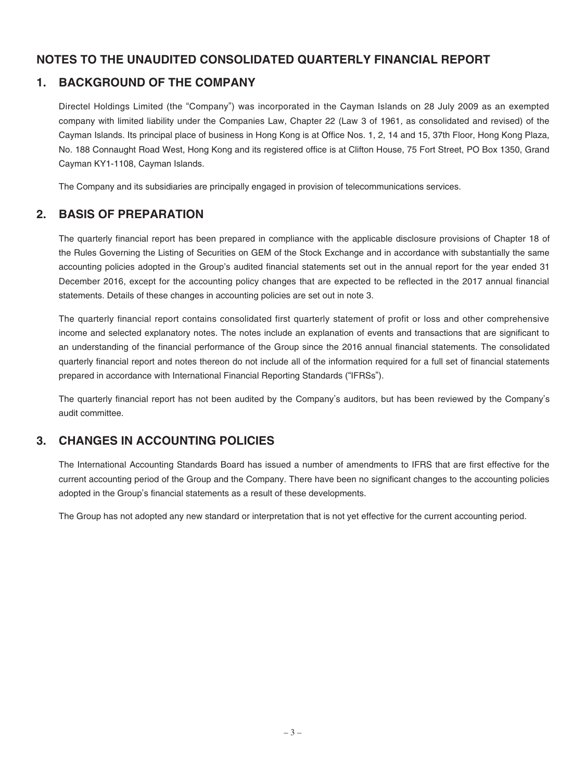## **NOTES TO THE UNAUDITED CONSOLIDATED QUARTERLY FINANCIAL REPORT**

## **1. BACKGROUND OF THE COMPANY**

Directel Holdings Limited (the "Company") was incorporated in the Cayman Islands on 28 July 2009 as an exempted company with limited liability under the Companies Law, Chapter 22 (Law 3 of 1961, as consolidated and revised) of the Cayman Islands. Its principal place of business in Hong Kong is at Office Nos. 1, 2, 14 and 15, 37th Floor, Hong Kong Plaza, No. 188 Connaught Road West, Hong Kong and its registered office is at Clifton House, 75 Fort Street, PO Box 1350, Grand Cayman KY1-1108, Cayman Islands.

The Company and its subsidiaries are principally engaged in provision of telecommunications services.

## **2. BASIS OF PREPARATION**

The quarterly financial report has been prepared in compliance with the applicable disclosure provisions of Chapter 18 of the Rules Governing the Listing of Securities on GEM of the Stock Exchange and in accordance with substantially the same accounting policies adopted in the Group's audited financial statements set out in the annual report for the year ended 31 December 2016, except for the accounting policy changes that are expected to be reflected in the 2017 annual financial statements. Details of these changes in accounting policies are set out in note 3.

The quarterly financial report contains consolidated first quarterly statement of profit or loss and other comprehensive income and selected explanatory notes. The notes include an explanation of events and transactions that are significant to an understanding of the financial performance of the Group since the 2016 annual financial statements. The consolidated quarterly financial report and notes thereon do not include all of the information required for a full set of financial statements prepared in accordance with International Financial Reporting Standards ("IFRSs").

The quarterly financial report has not been audited by the Company's auditors, but has been reviewed by the Company's audit committee.

# **3. CHANGES IN ACCOUNTING POLICIES**

The International Accounting Standards Board has issued a number of amendments to IFRS that are first effective for the current accounting period of the Group and the Company. There have been no significant changes to the accounting policies adopted in the Group's financial statements as a result of these developments.

The Group has not adopted any new standard or interpretation that is not yet effective for the current accounting period.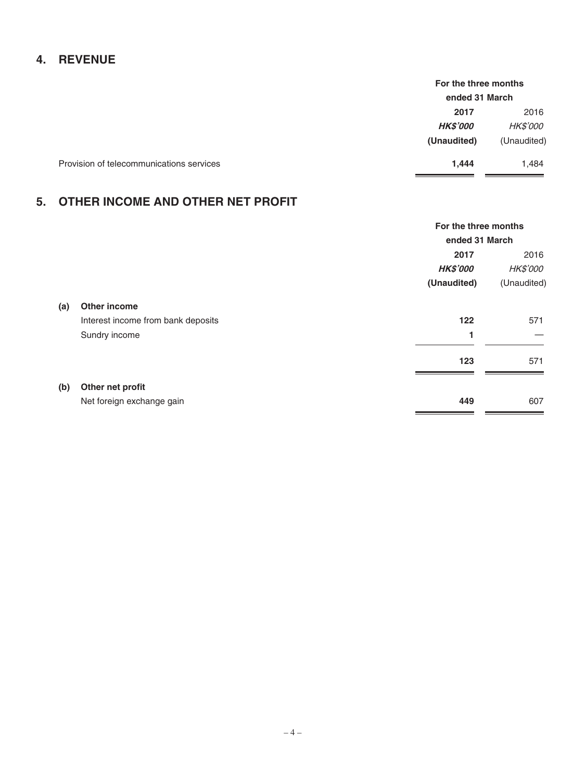# **4. REVENUE**

|                                          | For the three months |                 |
|------------------------------------------|----------------------|-----------------|
|                                          | ended 31 March       |                 |
|                                          | 2017                 | 2016            |
|                                          | <b>HK\$'000</b>      | <i>HK\$'000</i> |
|                                          | (Unaudited)          | (Unaudited)     |
| Provision of telecommunications services | 1,444                | 1,484           |

# **5. OTHER INCOME AND OTHER NET PROFIT**

|     |                                    | For the three months |                 |  |
|-----|------------------------------------|----------------------|-----------------|--|
|     |                                    |                      | ended 31 March  |  |
|     |                                    | 2017                 | 2016            |  |
|     |                                    | <b>HK\$'000</b>      | <b>HK\$'000</b> |  |
|     |                                    | (Unaudited)          | (Unaudited)     |  |
| (a) | <b>Other income</b>                |                      |                 |  |
|     | Interest income from bank deposits | 122                  | 571             |  |
|     | Sundry income                      | 1                    |                 |  |
|     |                                    | 123                  | 571             |  |
| (b) | Other net profit                   |                      |                 |  |
|     | Net foreign exchange gain          | 449                  | 607             |  |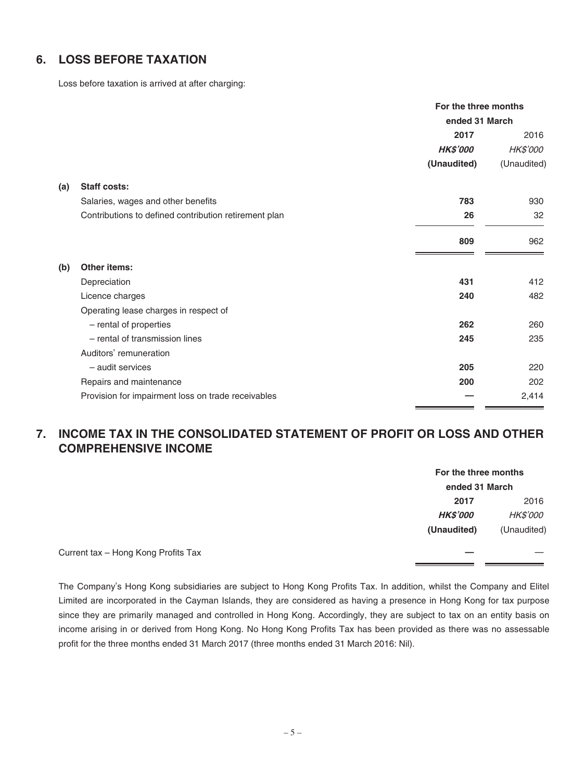# **6. LOSS BEFORE TAXATION**

Loss before taxation is arrived at after charging:

|     |                                                       | For the three months |             |
|-----|-------------------------------------------------------|----------------------|-------------|
|     |                                                       | ended 31 March       |             |
|     |                                                       | 2017                 | 2016        |
|     |                                                       | <b>HK\$'000</b>      | HK\$'000    |
|     |                                                       | (Unaudited)          | (Unaudited) |
| (a) | <b>Staff costs:</b>                                   |                      |             |
|     | Salaries, wages and other benefits                    | 783                  | 930         |
|     | Contributions to defined contribution retirement plan | 26                   | 32          |
|     |                                                       | 809                  | 962         |
| (b) | <b>Other items:</b>                                   |                      |             |
|     | Depreciation                                          | 431                  | 412         |
|     | Licence charges                                       | 240                  | 482         |
|     | Operating lease charges in respect of                 |                      |             |
|     | - rental of properties                                | 262                  | 260         |
|     | - rental of transmission lines                        | 245                  | 235         |
|     | Auditors' remuneration                                |                      |             |
|     | - audit services                                      | 205                  | 220         |
|     | Repairs and maintenance                               | 200                  | 202         |
|     | Provision for impairment loss on trade receivables    |                      | 2,414       |

# **7. INCOME TAX IN THE CONSOLIDATED STATEMENT OF PROFIT OR LOSS AND OTHER COMPREHENSIVE INCOME**

| For the three months |                 |
|----------------------|-----------------|
| ended 31 March       |                 |
| 2017                 | 2016            |
| <b>HK\$'000</b>      | <i>HK\$'000</i> |
| (Unaudited)          | (Unaudited)     |
|                      |                 |

Current tax - Hong Kong Profits Tax

The Company's Hong Kong subsidiaries are subject to Hong Kong Profits Tax. In addition, whilst the Company and Elitel Limited are incorporated in the Cayman Islands, they are considered as having a presence in Hong Kong for tax purpose since they are primarily managed and controlled in Hong Kong. Accordingly, they are subject to tax on an entity basis on income arising in or derived from Hong Kong. No Hong Kong Profits Tax has been provided as there was no assessable profit for the three months ended 31 March 2017 (three months ended 31 March 2016: Nil).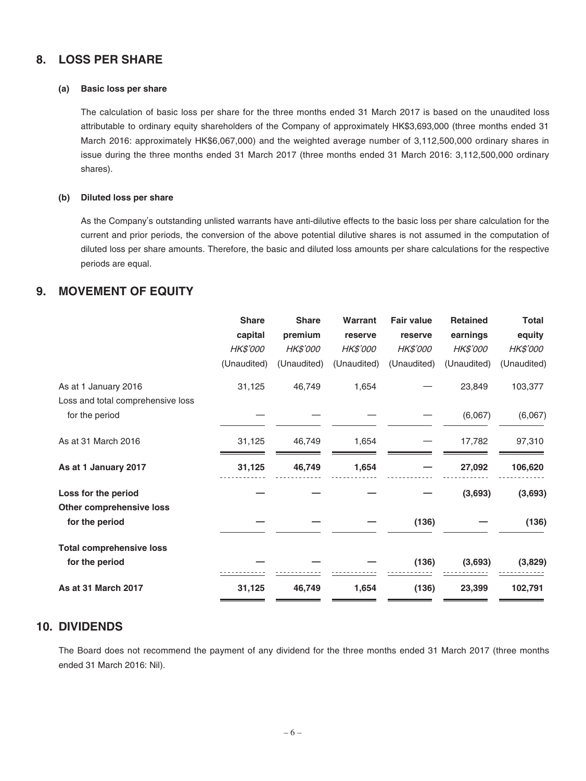### **8. LOSS PER SHARE**

#### **(a) Basic loss per share**

The calculation of basic loss per share for the three months ended 31 March 2017 is based on the unaudited loss attributable to ordinary equity shareholders of the Company of approximately HK\$3,693,000 (three months ended 31 March 2016: approximately HK\$6,067,000) and the weighted average number of 3,112,500,000 ordinary shares in issue during the three months ended 31 March 2017 (three months ended 31 March 2016: 3,112,500,000 ordinary shares).

#### **(b) Diluted loss per share**

As the Company's outstanding unlisted warrants have anti-dilutive effects to the basic loss per share calculation for the current and prior periods, the conversion of the above potential dilutive shares is not assumed in the computation of diluted loss per share amounts. Therefore, the basic and diluted loss amounts per share calculations for the respective periods are equal.

### **9. MOVEMENT OF EQUITY**

|                                   | <b>Share</b> | <b>Share</b> | Warrant     | <b>Fair value</b> | <b>Retained</b> | <b>Total</b> |
|-----------------------------------|--------------|--------------|-------------|-------------------|-----------------|--------------|
|                                   | capital      | premium      | reserve     | reserve           | earnings        | equity       |
|                                   | HK\$'000     | HK\$'000     | HK\$'000    | HK\$'000          | HK\$'000        | HK\$'000     |
|                                   | (Unaudited)  | (Unaudited)  | (Unaudited) | (Unaudited)       | (Unaudited)     | (Unaudited)  |
| As at 1 January 2016              | 31,125       | 46,749       | 1,654       |                   | 23,849          | 103,377      |
| Loss and total comprehensive loss |              |              |             |                   |                 |              |
| for the period                    |              |              |             |                   | (6,067)         | (6,067)      |
| As at 31 March 2016               | 31,125       | 46,749       | 1,654       |                   | 17,782          | 97,310       |
| As at 1 January 2017              | 31,125       | 46,749       | 1,654       |                   | 27,092          | 106,620      |
| Loss for the period               |              |              |             |                   | (3,693)         | (3,693)      |
| Other comprehensive loss          |              |              |             |                   |                 |              |
| for the period                    |              |              |             | (136)             |                 | (136)        |
| <b>Total comprehensive loss</b>   |              |              |             |                   |                 |              |
| for the period                    |              |              |             | (136)             | (3,693)         | (3,829)      |
| As at 31 March 2017               | 31,125       | 46,749       | 1,654       | (136)             | 23,399          | 102,791      |
|                                   |              |              |             |                   |                 |              |

### **10. DIVIDENDS**

The Board does not recommend the payment of any dividend for the three months ended 31 March 2017 (three months ended 31 March 2016: Nil).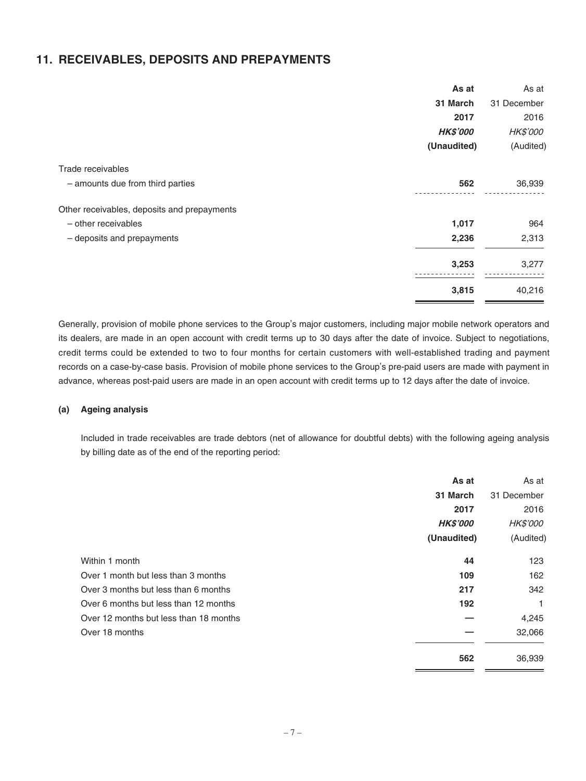### **11. RECEIVABLES, DEPOSITS AND PREPAYMENTS**

| As at                                       | As at       |
|---------------------------------------------|-------------|
| 31 March                                    | 31 December |
| 2017                                        | 2016        |
| <b>HK\$'000</b>                             | HK\$'000    |
| (Unaudited)                                 | (Audited)   |
| Trade receivables                           |             |
| - amounts due from third parties<br>562     | 36,939      |
| Other receivables, deposits and prepayments |             |
| - other receivables<br>1,017                | 964         |
| 2,236<br>- deposits and prepayments         | 2,313       |
| 3,253                                       | 3,277       |
| 3,815                                       | 40,216      |

Generally, provision of mobile phone services to the Group's major customers, including major mobile network operators and its dealers, are made in an open account with credit terms up to 30 days after the date of invoice. Subject to negotiations, credit terms could be extended to two to four months for certain customers with well-established trading and payment records on a case-by-case basis. Provision of mobile phone services to the Group's pre-paid users are made with payment in advance, whereas post-paid users are made in an open account with credit terms up to 12 days after the date of invoice.

#### **(a) Ageing analysis**

Included in trade receivables are trade debtors (net of allowance for doubtful debts) with the following ageing analysis by billing date as of the end of the reporting period:

|                                        | As at           | As at           |
|----------------------------------------|-----------------|-----------------|
|                                        | 31 March        | 31 December     |
|                                        | 2017            | 2016            |
|                                        | <b>HK\$'000</b> | <b>HK\$'000</b> |
|                                        | (Unaudited)     | (Audited)       |
| Within 1 month                         | 44              | 123             |
| Over 1 month but less than 3 months    | 109             | 162             |
| Over 3 months but less than 6 months   | 217             | 342             |
| Over 6 months but less than 12 months  | 192             | 1               |
| Over 12 months but less than 18 months |                 | 4,245           |
| Over 18 months                         |                 | 32,066          |
|                                        | 562             | 36,939          |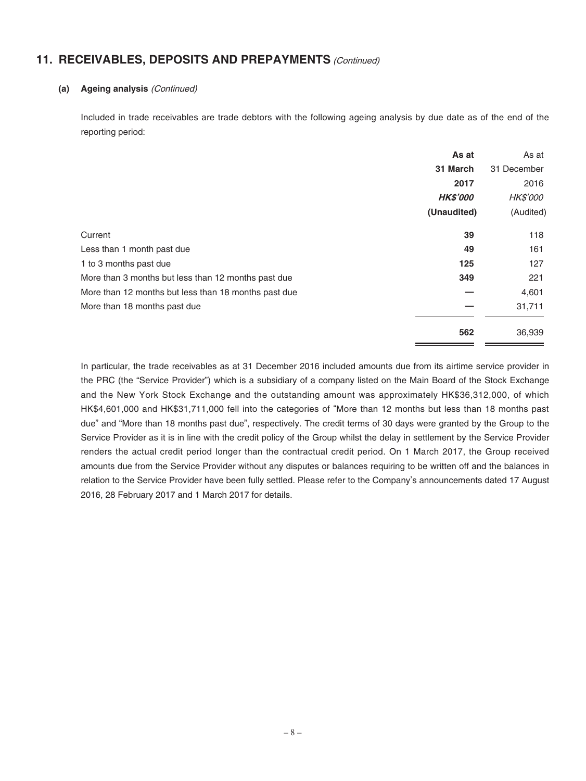### **11. RECEIVABLES, DEPOSITS AND PREPAYMENTS** (Continued)

#### **(a) Ageing analysis** (Continued)

Included in trade receivables are trade debtors with the following ageing analysis by due date as of the end of the reporting period:

|                                                      | As at           | As at           |
|------------------------------------------------------|-----------------|-----------------|
|                                                      | 31 March        | 31 December     |
|                                                      | 2017            | 2016            |
|                                                      | <b>HK\$'000</b> | <i>HK\$'000</i> |
|                                                      | (Unaudited)     | (Audited)       |
| Current                                              | 39              | 118             |
| Less than 1 month past due                           | 49              | 161             |
| 1 to 3 months past due                               | 125             | 127             |
| More than 3 months but less than 12 months past due  | 349             | 221             |
| More than 12 months but less than 18 months past due |                 | 4,601           |
| More than 18 months past due                         |                 | 31,711          |
|                                                      | 562             | 36,939          |

In particular, the trade receivables as at 31 December 2016 included amounts due from its airtime service provider in the PRC (the "Service Provider") which is a subsidiary of a company listed on the Main Board of the Stock Exchange and the New York Stock Exchange and the outstanding amount was approximately HK\$36,312,000, of which HK\$4,601,000 and HK\$31,711,000 fell into the categories of "More than 12 months but less than 18 months past due" and "More than 18 months past due", respectively. The credit terms of 30 days were granted by the Group to the Service Provider as it is in line with the credit policy of the Group whilst the delay in settlement by the Service Provider renders the actual credit period longer than the contractual credit period. On 1 March 2017, the Group received amounts due from the Service Provider without any disputes or balances requiring to be written off and the balances in relation to the Service Provider have been fully settled. Please refer to the Company's announcements dated 17 August 2016, 28 February 2017 and 1 March 2017 for details.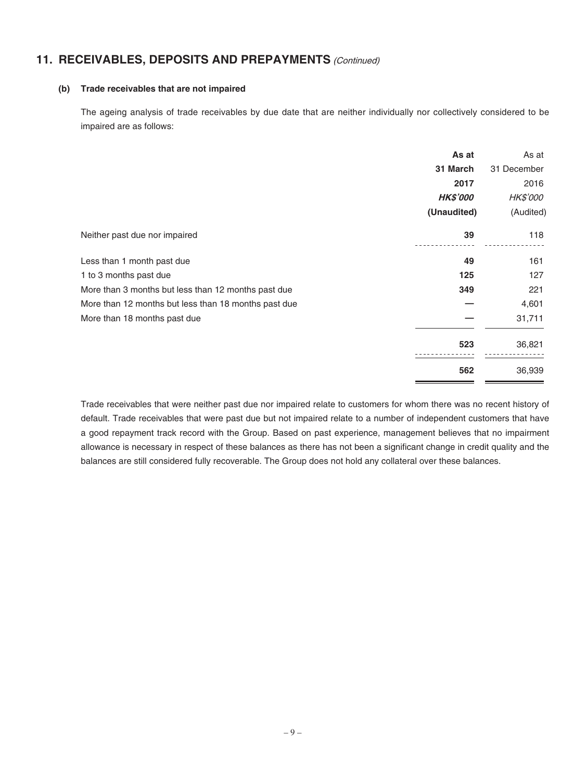# **11. RECEIVABLES, DEPOSITS AND PREPAYMENTS** (Continued)

#### **(b) Trade receivables that are not impaired**

The ageing analysis of trade receivables by due date that are neither individually nor collectively considered to be impaired are as follows:

|                                                      | As at           | As at           |
|------------------------------------------------------|-----------------|-----------------|
|                                                      | 31 March        | 31 December     |
|                                                      | 2017            | 2016            |
|                                                      | <b>HK\$'000</b> | <b>HK\$'000</b> |
|                                                      | (Unaudited)     | (Audited)       |
| Neither past due nor impaired                        | 39              | 118             |
| Less than 1 month past due                           | 49              | 161             |
| 1 to 3 months past due                               | 125             | 127             |
| More than 3 months but less than 12 months past due  | 349             | 221             |
| More than 12 months but less than 18 months past due |                 | 4,601           |
| More than 18 months past due                         |                 | 31,711          |
|                                                      | 523             | 36,821          |
|                                                      | 562             | 36,939          |

Trade receivables that were neither past due nor impaired relate to customers for whom there was no recent history of default. Trade receivables that were past due but not impaired relate to a number of independent customers that have a good repayment track record with the Group. Based on past experience, management believes that no impairment allowance is necessary in respect of these balances as there has not been a significant change in credit quality and the balances are still considered fully recoverable. The Group does not hold any collateral over these balances.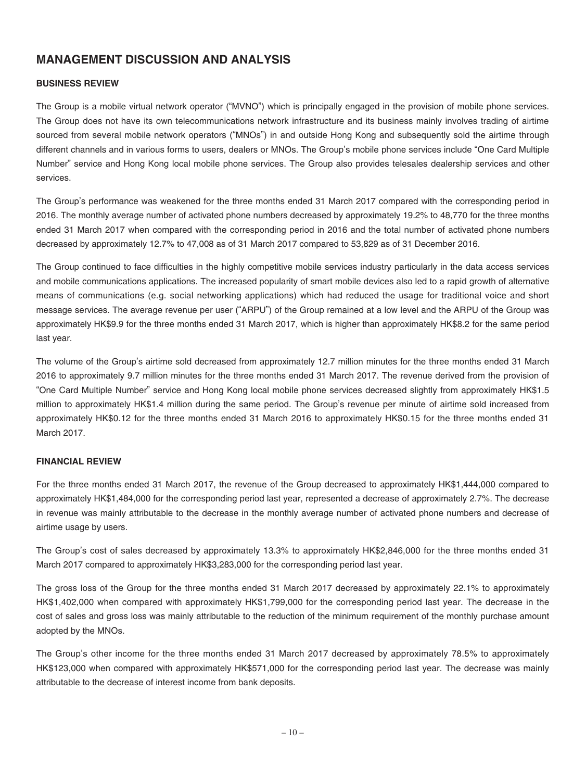# **MANAGEMENT DISCUSSION AND ANALYSIS**

#### **BUSINESS REVIEW**

The Group is a mobile virtual network operator ("MVNO") which is principally engaged in the provision of mobile phone services. The Group does not have its own telecommunications network infrastructure and its business mainly involves trading of airtime sourced from several mobile network operators ("MNOs") in and outside Hong Kong and subsequently sold the airtime through different channels and in various forms to users, dealers or MNOs. The Group's mobile phone services include "One Card Multiple Number" service and Hong Kong local mobile phone services. The Group also provides telesales dealership services and other services.

The Group's performance was weakened for the three months ended 31 March 2017 compared with the corresponding period in 2016. The monthly average number of activated phone numbers decreased by approximately 19.2% to 48,770 for the three months ended 31 March 2017 when compared with the corresponding period in 2016 and the total number of activated phone numbers decreased by approximately 12.7% to 47,008 as of 31 March 2017 compared to 53,829 as of 31 December 2016.

The Group continued to face difficulties in the highly competitive mobile services industry particularly in the data access services and mobile communications applications. The increased popularity of smart mobile devices also led to a rapid growth of alternative means of communications (e.g. social networking applications) which had reduced the usage for traditional voice and short message services. The average revenue per user ("ARPU") of the Group remained at a low level and the ARPU of the Group was approximately HK\$9.9 for the three months ended 31 March 2017, which is higher than approximately HK\$8.2 for the same period last year.

The volume of the Group's airtime sold decreased from approximately 12.7 million minutes for the three months ended 31 March 2016 to approximately 9.7 million minutes for the three months ended 31 March 2017. The revenue derived from the provision of "One Card Multiple Number" service and Hong Kong local mobile phone services decreased slightly from approximately HK\$1.5 million to approximately HK\$1.4 million during the same period. The Group's revenue per minute of airtime sold increased from approximately HK\$0.12 for the three months ended 31 March 2016 to approximately HK\$0.15 for the three months ended 31 March 2017.

#### **FINANCIAL REVIEW**

For the three months ended 31 March 2017, the revenue of the Group decreased to approximately HK\$1,444,000 compared to approximately HK\$1,484,000 for the corresponding period last year, represented a decrease of approximately 2.7%. The decrease in revenue was mainly attributable to the decrease in the monthly average number of activated phone numbers and decrease of airtime usage by users.

The Group's cost of sales decreased by approximately 13.3% to approximately HK\$2,846,000 for the three months ended 31 March 2017 compared to approximately HK\$3,283,000 for the corresponding period last year.

The gross loss of the Group for the three months ended 31 March 2017 decreased by approximately 22.1% to approximately HK\$1,402,000 when compared with approximately HK\$1,799,000 for the corresponding period last year. The decrease in the cost of sales and gross loss was mainly attributable to the reduction of the minimum requirement of the monthly purchase amount adopted by the MNOs.

The Group's other income for the three months ended 31 March 2017 decreased by approximately 78.5% to approximately HK\$123,000 when compared with approximately HK\$571,000 for the corresponding period last year. The decrease was mainly attributable to the decrease of interest income from bank deposits.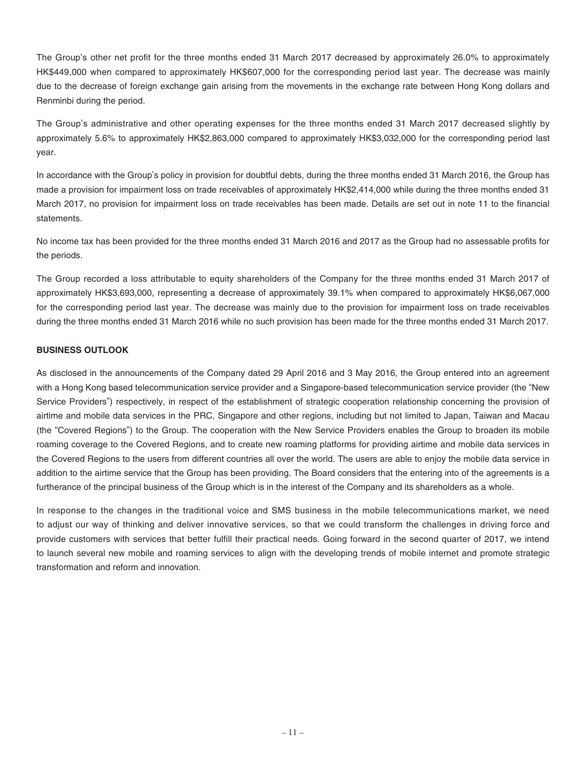The Group's other net profit for the three months ended 31 March 2017 decreased by approximately 26.0% to approximately HK\$449,000 when compared to approximately HK\$607,000 for the corresponding period last year. The decrease was mainly due to the decrease of foreign exchange gain arising from the movements in the exchange rate between Hong Kong dollars and Renminbi during the period.

The Group's administrative and other operating expenses for the three months ended 31 March 2017 decreased slightly by approximately 5.6% to approximately HK\$2,863,000 compared to approximately HK\$3,032,000 for the corresponding period last year.

In accordance with the Group's policy in provision for doubtful debts, during the three months ended 31 March 2016, the Group has made a provision for impairment loss on trade receivables of approximately HK\$2,414,000 while during the three months ended 31 March 2017, no provision for impairment loss on trade receivables has been made. Details are set out in note 11 to the financial statements.

No income tax has been provided for the three months ended 31 March 2016 and 2017 as the Group had no assessable profits for the periods.

The Group recorded a loss attributable to equity shareholders of the Company for the three months ended 31 March 2017 of approximately HK\$3,693,000, representing a decrease of approximately 39.1% when compared to approximately HK\$6,067,000 for the corresponding period last year. The decrease was mainly due to the provision for impairment loss on trade receivables during the three months ended 31 March 2016 while no such provision has been made for the three months ended 31 March 2017.

#### **BUSINESS OUTLOOK**

As disclosed in the announcements of the Company dated 29 April 2016 and 3 May 2016, the Group entered into an agreement with a Hong Kong based telecommunication service provider and a Singapore-based telecommunication service provider (the "New Service Providers") respectively, in respect of the establishment of strategic cooperation relationship concerning the provision of airtime and mobile data services in the PRC, Singapore and other regions, including but not limited to Japan, Taiwan and Macau (the "Covered Regions") to the Group. The cooperation with the New Service Providers enables the Group to broaden its mobile roaming coverage to the Covered Regions, and to create new roaming platforms for providing airtime and mobile data services in the Covered Regions to the users from different countries all over the world. The users are able to enjoy the mobile data service in addition to the airtime service that the Group has been providing. The Board considers that the entering into of the agreements is a furtherance of the principal business of the Group which is in the interest of the Company and its shareholders as a whole.

In response to the changes in the traditional voice and SMS business in the mobile telecommunications market, we need to adjust our way of thinking and deliver innovative services, so that we could transform the challenges in driving force and provide customers with services that better fulfill their practical needs. Going forward in the second quarter of 2017, we intend to launch several new mobile and roaming services to align with the developing trends of mobile internet and promote strategic transformation and reform and innovation.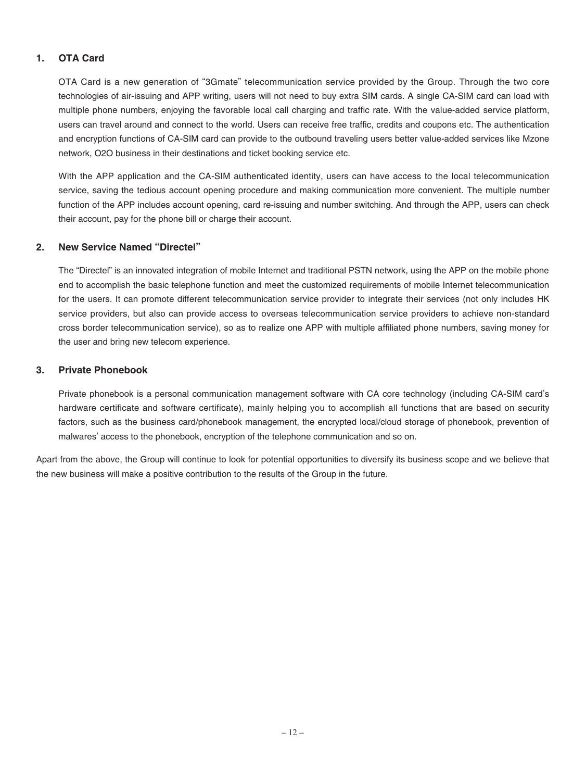### **1. OTA Card**

OTA Card is a new generation of "3Gmate" telecommunication service provided by the Group. Through the two core technologies of air-issuing and APP writing, users will not need to buy extra SIM cards. A single CA-SIM card can load with multiple phone numbers, enjoying the favorable local call charging and traffic rate. With the value-added service platform, users can travel around and connect to the world. Users can receive free traffic, credits and coupons etc. The authentication and encryption functions of CA-SIM card can provide to the outbound traveling users better value-added services like Mzone network, O2O business in their destinations and ticket booking service etc.

With the APP application and the CA-SIM authenticated identity, users can have access to the local telecommunication service, saving the tedious account opening procedure and making communication more convenient. The multiple number function of the APP includes account opening, card re-issuing and number switching. And through the APP, users can check their account, pay for the phone bill or charge their account.

#### **2. New Service Named "Directel"**

The "Directel" is an innovated integration of mobile Internet and traditional PSTN network, using the APP on the mobile phone end to accomplish the basic telephone function and meet the customized requirements of mobile Internet telecommunication for the users. It can promote different telecommunication service provider to integrate their services (not only includes HK service providers, but also can provide access to overseas telecommunication service providers to achieve non-standard cross border telecommunication service), so as to realize one APP with multiple affiliated phone numbers, saving money for the user and bring new telecom experience.

#### **3. Private Phonebook**

Private phonebook is a personal communication management software with CA core technology (including CA-SIM card's hardware certificate and software certificate), mainly helping you to accomplish all functions that are based on security factors, such as the business card/phonebook management, the encrypted local/cloud storage of phonebook, prevention of malwares' access to the phonebook, encryption of the telephone communication and so on.

Apart from the above, the Group will continue to look for potential opportunities to diversify its business scope and we believe that the new business will make a positive contribution to the results of the Group in the future.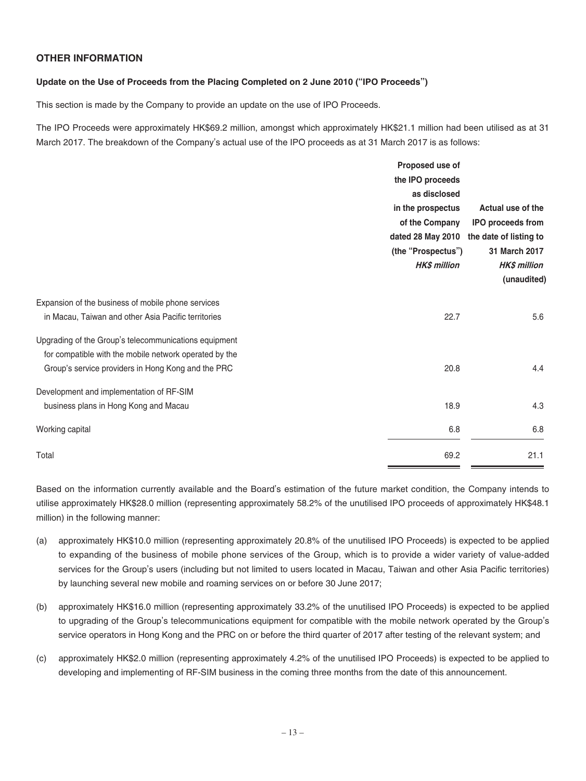### **OTHER INFORMATION**

#### **Update on the Use of Proceeds from the Placing Completed on 2 June 2010 ("IPO Proceeds")**

This section is made by the Company to provide an update on the use of IPO Proceeds.

The IPO Proceeds were approximately HK\$69.2 million, amongst which approximately HK\$21.1 million had been utilised as at 31 March 2017. The breakdown of the Company's actual use of the IPO proceeds as at 31 March 2017 is as follows:

|                                                        | Proposed use of     |                          |
|--------------------------------------------------------|---------------------|--------------------------|
|                                                        | the IPO proceeds    |                          |
|                                                        | as disclosed        |                          |
|                                                        | in the prospectus   | Actual use of the        |
|                                                        | of the Company      | <b>IPO proceeds from</b> |
|                                                        | dated 28 May 2010   | the date of listing to   |
|                                                        | (the "Prospectus")  | 31 March 2017            |
|                                                        | <b>HK\$ million</b> | <b>HK\$ million</b>      |
|                                                        |                     | (unaudited)              |
| Expansion of the business of mobile phone services     |                     |                          |
| in Macau, Taiwan and other Asia Pacific territories    | 22.7                | 5.6                      |
| Upgrading of the Group's telecommunications equipment  |                     |                          |
| for compatible with the mobile network operated by the |                     |                          |
| Group's service providers in Hong Kong and the PRC     | 20.8                | 4.4                      |
| Development and implementation of RF-SIM               |                     |                          |
| business plans in Hong Kong and Macau                  | 18.9                | 4.3                      |
| Working capital                                        | 6.8                 | 6.8                      |
| Total                                                  | 69.2                | 21.1                     |

Based on the information currently available and the Board's estimation of the future market condition, the Company intends to utilise approximately HK\$28.0 million (representing approximately 58.2% of the unutilised IPO proceeds of approximately HK\$48.1 million) in the following manner:

- (a) approximately HK\$10.0 million (representing approximately 20.8% of the unutilised IPO Proceeds) is expected to be applied to expanding of the business of mobile phone services of the Group, which is to provide a wider variety of value-added services for the Group's users (including but not limited to users located in Macau, Taiwan and other Asia Pacific territories) by launching several new mobile and roaming services on or before 30 June 2017;
- (b) approximately HK\$16.0 million (representing approximately 33.2% of the unutilised IPO Proceeds) is expected to be applied to upgrading of the Group's telecommunications equipment for compatible with the mobile network operated by the Group's service operators in Hong Kong and the PRC on or before the third quarter of 2017 after testing of the relevant system; and
- (c) approximately HK\$2.0 million (representing approximately 4.2% of the unutilised IPO Proceeds) is expected to be applied to developing and implementing of RF-SIM business in the coming three months from the date of this announcement.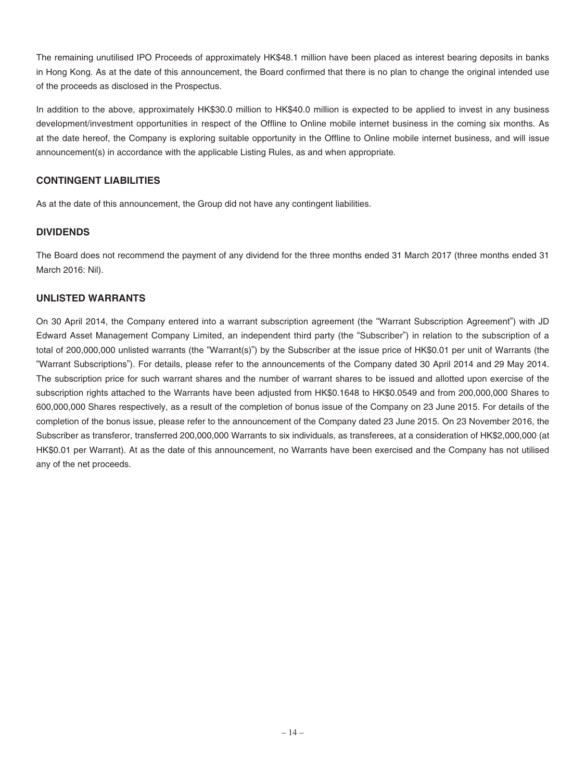The remaining unutilised IPO Proceeds of approximately HK\$48.1 million have been placed as interest bearing deposits in banks in Hong Kong. As at the date of this announcement, the Board confirmed that there is no plan to change the original intended use of the proceeds as disclosed in the Prospectus.

In addition to the above, approximately HK\$30.0 million to HK\$40.0 million is expected to be applied to invest in any business development/investment opportunities in respect of the Offline to Online mobile internet business in the coming six months. As at the date hereof, the Company is exploring suitable opportunity in the Offline to Online mobile internet business, and will issue announcement(s) in accordance with the applicable Listing Rules, as and when appropriate.

### **CONTINGENT LIABILITIES**

As at the date of this announcement, the Group did not have any contingent liabilities.

### **DIVIDENDS**

The Board does not recommend the payment of any dividend for the three months ended 31 March 2017 (three months ended 31 March 2016: Nil).

### **UNLISTED WARRANTS**

On 30 April 2014, the Company entered into a warrant subscription agreement (the "Warrant Subscription Agreement") with JD Edward Asset Management Company Limited, an independent third party (the "Subscriber") in relation to the subscription of a total of 200,000,000 unlisted warrants (the "Warrant(s)") by the Subscriber at the issue price of HK\$0.01 per unit of Warrants (the "Warrant Subscriptions"). For details, please refer to the announcements of the Company dated 30 April 2014 and 29 May 2014. The subscription price for such warrant shares and the number of warrant shares to be issued and allotted upon exercise of the subscription rights attached to the Warrants have been adjusted from HK\$0.1648 to HK\$0.0549 and from 200,000,000 Shares to 600,000,000 Shares respectively, as a result of the completion of bonus issue of the Company on 23 June 2015. For details of the completion of the bonus issue, please refer to the announcement of the Company dated 23 June 2015. On 23 November 2016, the Subscriber as transferor, transferred 200,000,000 Warrants to six individuals, as transferees, at a consideration of HK\$2,000,000 (at HK\$0.01 per Warrant). At as the date of this announcement, no Warrants have been exercised and the Company has not utilised any of the net proceeds.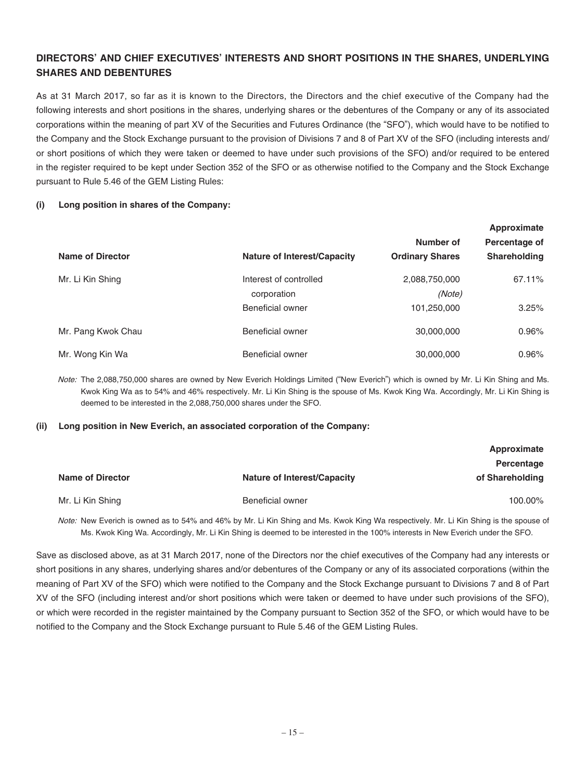### **DIRECTORS' AND CHIEF EXECUTIVES' INTERESTS AND SHORT POSITIONS IN THE SHARES, UNDERLYING SHARES AND DEBENTURES**

As at 31 March 2017, so far as it is known to the Directors, the Directors and the chief executive of the Company had the following interests and short positions in the shares, underlying shares or the debentures of the Company or any of its associated corporations within the meaning of part XV of the Securities and Futures Ordinance (the "SFO"), which would have to be notified to the Company and the Stock Exchange pursuant to the provision of Divisions 7 and 8 of Part XV of the SFO (including interests and/ or short positions of which they were taken or deemed to have under such provisions of the SFO) and/or required to be entered in the register required to be kept under Section 352 of the SFO or as otherwise notified to the Company and the Stock Exchange pursuant to Rule 5.46 of the GEM Listing Rules:

#### **(i) Long position in shares of the Company:**

|                         |                                    |                        | Approximate   |
|-------------------------|------------------------------------|------------------------|---------------|
|                         |                                    | Number of              | Percentage of |
| <b>Name of Director</b> | <b>Nature of Interest/Capacity</b> | <b>Ordinary Shares</b> | Shareholding  |
| Mr. Li Kin Shing        | Interest of controlled             | 2,088,750,000          | 67.11%        |
|                         | corporation                        | (Note)                 |               |
|                         | Beneficial owner                   | 101,250,000            | 3.25%         |
| Mr. Pang Kwok Chau      | <b>Beneficial owner</b>            | 30,000,000             | 0.96%         |
| Mr. Wong Kin Wa         | Beneficial owner                   | 30,000,000             | 0.96%         |

Note: The 2,088,750,000 shares are owned by New Everich Holdings Limited ("New Everich") which is owned by Mr. Li Kin Shing and Ms. Kwok King Wa as to 54% and 46% respectively. Mr. Li Kin Shing is the spouse of Ms. Kwok King Wa. Accordingly, Mr. Li Kin Shing is deemed to be interested in the 2,088,750,000 shares under the SFO.

#### **(ii) Long position in New Everich, an associated corporation of the Company:**

|                         |                                    | Approximate     |
|-------------------------|------------------------------------|-----------------|
|                         |                                    | Percentage      |
| <b>Name of Director</b> | <b>Nature of Interest/Capacity</b> | of Shareholding |
|                         |                                    |                 |
| Mr. Li Kin Shing        | Beneficial owner                   | 100.00%         |

Note: New Everich is owned as to 54% and 46% by Mr. Li Kin Shing and Ms. Kwok King Wa respectively. Mr. Li Kin Shing is the spouse of Ms. Kwok King Wa. Accordingly, Mr. Li Kin Shing is deemed to be interested in the 100% interests in New Everich under the SFO.

Save as disclosed above, as at 31 March 2017, none of the Directors nor the chief executives of the Company had any interests or short positions in any shares, underlying shares and/or debentures of the Company or any of its associated corporations (within the meaning of Part XV of the SFO) which were notified to the Company and the Stock Exchange pursuant to Divisions 7 and 8 of Part XV of the SFO (including interest and/or short positions which were taken or deemed to have under such provisions of the SFO), or which were recorded in the register maintained by the Company pursuant to Section 352 of the SFO, or which would have to be notified to the Company and the Stock Exchange pursuant to Rule 5.46 of the GEM Listing Rules.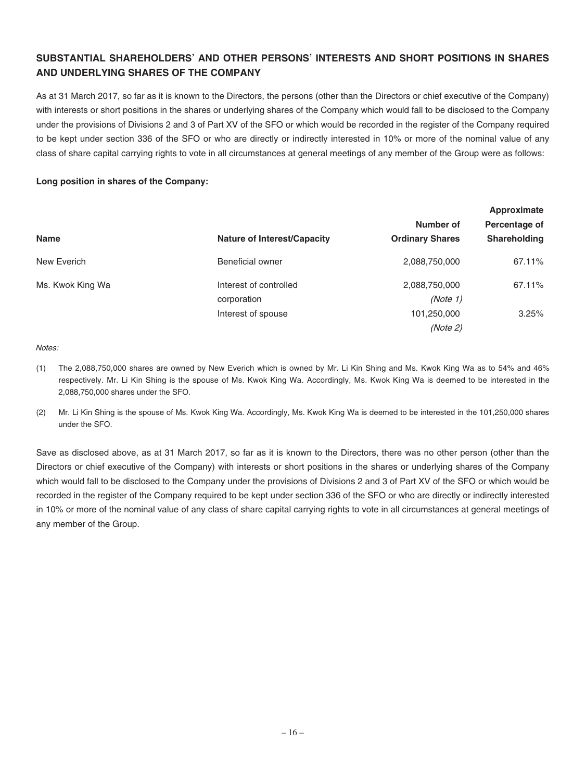### **SUBSTANTIAL SHAREHOLDERS' AND OTHER PERSONS' INTERESTS AND SHORT POSITIONS IN SHARES AND UNDERLYING SHARES OF THE COMPANY**

As at 31 March 2017, so far as it is known to the Directors, the persons (other than the Directors or chief executive of the Company) with interests or short positions in the shares or underlying shares of the Company which would fall to be disclosed to the Company under the provisions of Divisions 2 and 3 of Part XV of the SFO or which would be recorded in the register of the Company required to be kept under section 336 of the SFO or who are directly or indirectly interested in 10% or more of the nominal value of any class of share capital carrying rights to vote in all circumstances at general meetings of any member of the Group were as follows:

#### **Long position in shares of the Company:**

|                  |                                    | Approximate            |                     |  |
|------------------|------------------------------------|------------------------|---------------------|--|
|                  |                                    | Number of              | Percentage of       |  |
| <b>Name</b>      | <b>Nature of Interest/Capacity</b> | <b>Ordinary Shares</b> | <b>Shareholding</b> |  |
| New Everich      | <b>Beneficial owner</b>            | 2,088,750,000          | 67.11%              |  |
| Ms. Kwok King Wa | Interest of controlled             | 2,088,750,000          | 67.11%              |  |
|                  | corporation                        | (Note 1)               |                     |  |
|                  | Interest of spouse                 | 101,250,000            | 3.25%               |  |
|                  |                                    | (Note 2)               |                     |  |

Notes:

- (1) The 2,088,750,000 shares are owned by New Everich which is owned by Mr. Li Kin Shing and Ms. Kwok King Wa as to 54% and 46% respectively. Mr. Li Kin Shing is the spouse of Ms. Kwok King Wa. Accordingly, Ms. Kwok King Wa is deemed to be interested in the 2,088,750,000 shares under the SFO.
- (2) Mr. Li Kin Shing is the spouse of Ms. Kwok King Wa. Accordingly, Ms. Kwok King Wa is deemed to be interested in the 101,250,000 shares under the SFO.

Save as disclosed above, as at 31 March 2017, so far as it is known to the Directors, there was no other person (other than the Directors or chief executive of the Company) with interests or short positions in the shares or underlying shares of the Company which would fall to be disclosed to the Company under the provisions of Divisions 2 and 3 of Part XV of the SFO or which would be recorded in the register of the Company required to be kept under section 336 of the SFO or who are directly or indirectly interested in 10% or more of the nominal value of any class of share capital carrying rights to vote in all circumstances at general meetings of any member of the Group.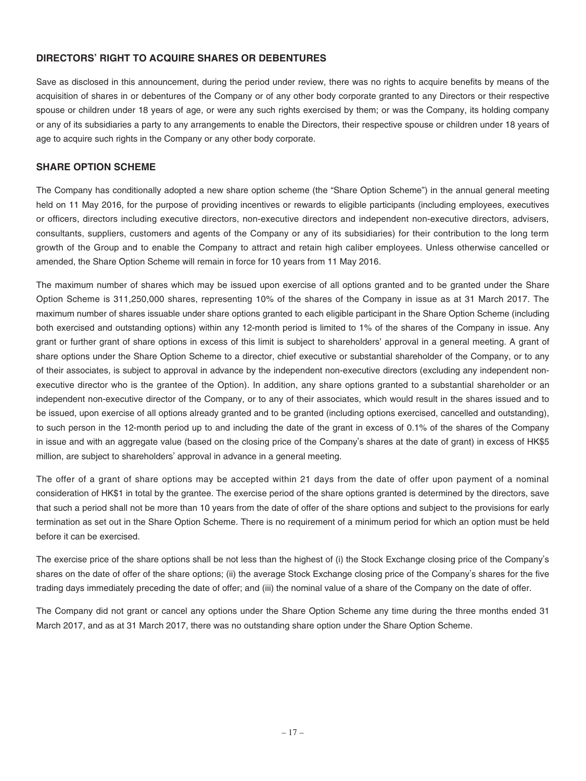### **DIRECTORS' RIGHT TO ACQUIRE SHARES OR DEBENTURES**

Save as disclosed in this announcement, during the period under review, there was no rights to acquire benefits by means of the acquisition of shares in or debentures of the Company or of any other body corporate granted to any Directors or their respective spouse or children under 18 years of age, or were any such rights exercised by them; or was the Company, its holding company or any of its subsidiaries a party to any arrangements to enable the Directors, their respective spouse or children under 18 years of age to acquire such rights in the Company or any other body corporate.

#### **SHARE OPTION SCHEME**

The Company has conditionally adopted a new share option scheme (the "Share Option Scheme") in the annual general meeting held on 11 May 2016, for the purpose of providing incentives or rewards to eligible participants (including employees, executives or officers, directors including executive directors, non-executive directors and independent non-executive directors, advisers, consultants, suppliers, customers and agents of the Company or any of its subsidiaries) for their contribution to the long term growth of the Group and to enable the Company to attract and retain high caliber employees. Unless otherwise cancelled or amended, the Share Option Scheme will remain in force for 10 years from 11 May 2016.

The maximum number of shares which may be issued upon exercise of all options granted and to be granted under the Share Option Scheme is 311,250,000 shares, representing 10% of the shares of the Company in issue as at 31 March 2017. The maximum number of shares issuable under share options granted to each eligible participant in the Share Option Scheme (including both exercised and outstanding options) within any 12-month period is limited to 1% of the shares of the Company in issue. Any grant or further grant of share options in excess of this limit is subject to shareholders' approval in a general meeting. A grant of share options under the Share Option Scheme to a director, chief executive or substantial shareholder of the Company, or to any of their associates, is subject to approval in advance by the independent non-executive directors (excluding any independent nonexecutive director who is the grantee of the Option). In addition, any share options granted to a substantial shareholder or an independent non-executive director of the Company, or to any of their associates, which would result in the shares issued and to be issued, upon exercise of all options already granted and to be granted (including options exercised, cancelled and outstanding), to such person in the 12-month period up to and including the date of the grant in excess of 0.1% of the shares of the Company in issue and with an aggregate value (based on the closing price of the Company's shares at the date of grant) in excess of HK\$5 million, are subject to shareholders' approval in advance in a general meeting.

The offer of a grant of share options may be accepted within 21 days from the date of offer upon payment of a nominal consideration of HK\$1 in total by the grantee. The exercise period of the share options granted is determined by the directors, save that such a period shall not be more than 10 years from the date of offer of the share options and subject to the provisions for early termination as set out in the Share Option Scheme. There is no requirement of a minimum period for which an option must be held before it can be exercised.

The exercise price of the share options shall be not less than the highest of (i) the Stock Exchange closing price of the Company's shares on the date of offer of the share options; (ii) the average Stock Exchange closing price of the Company's shares for the five trading days immediately preceding the date of offer; and (iii) the nominal value of a share of the Company on the date of offer.

The Company did not grant or cancel any options under the Share Option Scheme any time during the three months ended 31 March 2017, and as at 31 March 2017, there was no outstanding share option under the Share Option Scheme.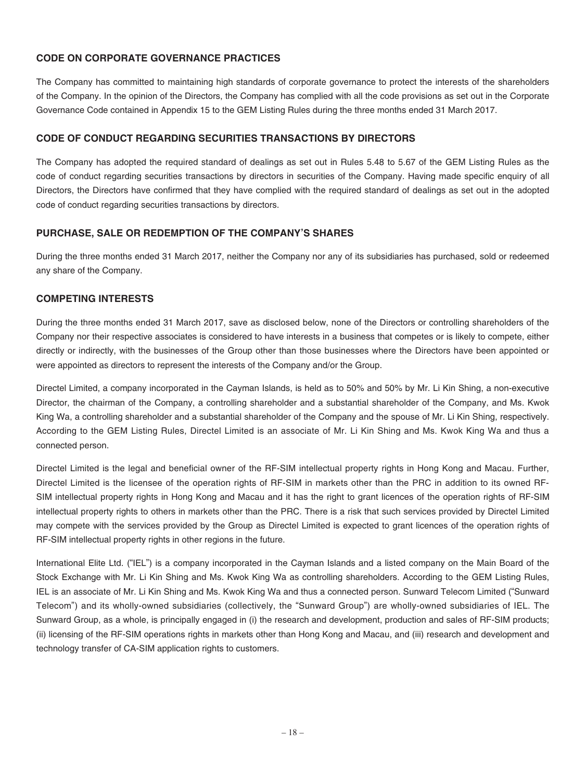### **CODE ON CORPORATE GOVERNANCE PRACTICES**

The Company has committed to maintaining high standards of corporate governance to protect the interests of the shareholders of the Company. In the opinion of the Directors, the Company has complied with all the code provisions as set out in the Corporate Governance Code contained in Appendix 15 to the GEM Listing Rules during the three months ended 31 March 2017.

#### **CODE OF CONDUCT REGARDING SECURITIES TRANSACTIONS BY DIRECTORS**

The Company has adopted the required standard of dealings as set out in Rules 5.48 to 5.67 of the GEM Listing Rules as the code of conduct regarding securities transactions by directors in securities of the Company. Having made specific enquiry of all Directors, the Directors have confirmed that they have complied with the required standard of dealings as set out in the adopted code of conduct regarding securities transactions by directors.

#### **PURCHASE, SALE OR REDEMPTION OF THE COMPANY'S SHARES**

During the three months ended 31 March 2017, neither the Company nor any of its subsidiaries has purchased, sold or redeemed any share of the Company.

#### **COMPETING INTERESTS**

During the three months ended 31 March 2017, save as disclosed below, none of the Directors or controlling shareholders of the Company nor their respective associates is considered to have interests in a business that competes or is likely to compete, either directly or indirectly, with the businesses of the Group other than those businesses where the Directors have been appointed or were appointed as directors to represent the interests of the Company and/or the Group.

Directel Limited, a company incorporated in the Cayman Islands, is held as to 50% and 50% by Mr. Li Kin Shing, a non-executive Director, the chairman of the Company, a controlling shareholder and a substantial shareholder of the Company, and Ms. Kwok King Wa, a controlling shareholder and a substantial shareholder of the Company and the spouse of Mr. Li Kin Shing, respectively. According to the GEM Listing Rules, Directel Limited is an associate of Mr. Li Kin Shing and Ms. Kwok King Wa and thus a connected person.

Directel Limited is the legal and beneficial owner of the RF-SIM intellectual property rights in Hong Kong and Macau. Further, Directel Limited is the licensee of the operation rights of RF-SIM in markets other than the PRC in addition to its owned RF-SIM intellectual property rights in Hong Kong and Macau and it has the right to grant licences of the operation rights of RF-SIM intellectual property rights to others in markets other than the PRC. There is a risk that such services provided by Directel Limited may compete with the services provided by the Group as Directel Limited is expected to grant licences of the operation rights of RF-SIM intellectual property rights in other regions in the future.

International Elite Ltd. ("IEL") is a company incorporated in the Cayman Islands and a listed company on the Main Board of the Stock Exchange with Mr. Li Kin Shing and Ms. Kwok King Wa as controlling shareholders. According to the GEM Listing Rules, IEL is an associate of Mr. Li Kin Shing and Ms. Kwok King Wa and thus a connected person. Sunward Telecom Limited ("Sunward Telecom") and its wholly-owned subsidiaries (collectively, the "Sunward Group") are wholly-owned subsidiaries of IEL. The Sunward Group, as a whole, is principally engaged in (i) the research and development, production and sales of RF-SIM products; (ii) licensing of the RF-SIM operations rights in markets other than Hong Kong and Macau, and (iii) research and development and technology transfer of CA-SIM application rights to customers.